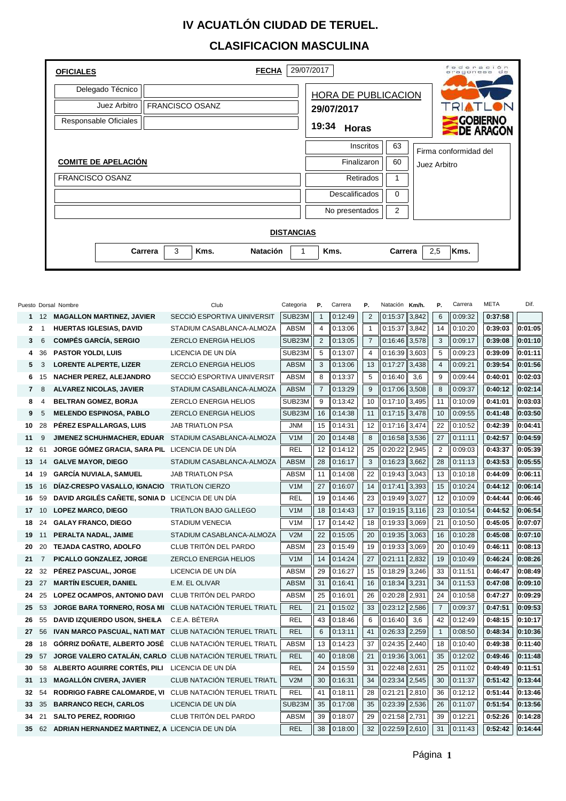## **IV ACUATLÓN CIUDAD DE TERUEL.**

## **CLASIFICACION MASCULINA**

| <b>OFICIALES</b>           |                      | <b>FECHA</b><br>29/07/2017   |                     | der<br>ación<br>eragonesa |  |  |  |  |  |  |
|----------------------------|----------------------|------------------------------|---------------------|---------------------------|--|--|--|--|--|--|
| Delegado Técnico           |                      |                              | HORA DE PUBLICACION |                           |  |  |  |  |  |  |
| Juez Arbitro               | FRANCISCO OSANZ      | 29/07/2017                   |                     |                           |  |  |  |  |  |  |
| Responsable Oficiales      |                      | 19:34<br><b>Horas</b>        |                     |                           |  |  |  |  |  |  |
|                            |                      | Inscritos                    | 63                  | Firma conformidad del     |  |  |  |  |  |  |
| <b>COMITE DE APELACIÓN</b> |                      | Finalizaron                  | 60                  | Juez Arbitro              |  |  |  |  |  |  |
| <b>FRANCISCO OSANZ</b>     |                      | Retirados                    |                     |                           |  |  |  |  |  |  |
|                            |                      | <b>Descalificados</b>        | 0                   |                           |  |  |  |  |  |  |
|                            |                      | No presentados               | $\overline{2}$      |                           |  |  |  |  |  |  |
| <b>DISTANCIAS</b>          |                      |                              |                     |                           |  |  |  |  |  |  |
|                            | 3<br>Kms.<br>Carrera | Kms.<br><b>Natación</b><br>1 | Carrera             | 2,5<br>Kms.               |  |  |  |  |  |  |

|                |                | Puesto Dorsal Nombre                                            | Club                         | Categoria   | Ρ.             | Carrera | Р.             | Natación Km/h. |       | Ρ.             | Carrera | META    | Dif.    |
|----------------|----------------|-----------------------------------------------------------------|------------------------------|-------------|----------------|---------|----------------|----------------|-------|----------------|---------|---------|---------|
|                |                | 1 12 MAGALLON MARTINEZ, JAVIER                                  | SECCIÓ ESPORTIVA UINIVERSIT  | SUB23M      | $\mathbf{1}$   | 0:12:49 | $\overline{2}$ | 0:15:37        | 3.842 | 6              | 0:09:32 | 0:37:58 |         |
| $\mathbf{2}$   | $\mathbf{1}$   | <b>HUERTAS IGLESIAS, DAVID</b>                                  | STADIUM CASABLANCA-ALMOZA    | <b>ABSM</b> | $\overline{4}$ | 0:13:06 | $\mathbf{1}$   | 0:15:37        | 3,842 | 14             | 0:10:20 | 0:39:03 | 0:01:05 |
| 3              | 6              | <b>COMPÉS GARCÍA, SERGIO</b>                                    | ZERCLO ENERGIA HELIOS        | SUB23M      | 2              | 0:13:05 | $\overline{7}$ | 0:16:46        | 3,578 | 3              | 0:09:17 | 0:39:08 | 0:01:10 |
| 4              | 36             | <b>PASTOR YOLDI, LUIS</b>                                       | LICENCIA DE UN DÍA           | SUB23M      | 5              | 0:13:07 | $\overline{4}$ | 0:16:39        | 3,603 | 5              | 0:09:23 | 0:39:09 | 0:01:11 |
| 5              | 3              | <b>LORENTE ALPERTE, LIZER</b>                                   | <b>ZERCLO ENERGIA HELIOS</b> | <b>ABSM</b> | 3              | 0:13:06 | 13             | 0:17:27        | 3.438 | $\overline{4}$ | 0:09:21 | 0:39:54 | 0:01:56 |
| 6              | 15             | <b>NACHER PEREZ, ALEJANDRO</b>                                  | SECCIÓ ESPORTIVA UINIVERSIT  | <b>ABSM</b> | 8              | 0:13:37 | 5              | 0:16:40        | 3,6   | 9              | 0:09:44 | 0:40:01 | 0:02:03 |
| $\overline{7}$ | 8              | <b>ALVAREZ NICOLAS, JAVIER</b>                                  | STADIUM CASABLANCA-ALMOZA    | <b>ABSM</b> | $\overline{7}$ | 0:13:29 | 9              | 0:17:06        | 3,508 | 8              | 0:09:37 | 0:40:12 | 0:02:14 |
| 8              | 4              | <b>BELTRAN GOMEZ, BORJA</b>                                     | ZERCLO ENERGIA HELIOS        | SUB23M      | 9              | 0:13:42 | 10             | 0:17:10        | 3,495 | 11             | 0:10:09 | 0:41:01 | 0:03:03 |
| 9              | 5              | <b>MELENDO ESPINOSA, PABLO</b>                                  | <b>ZERCLO ENERGIA HELIOS</b> | SUB23M      | 16             | 0:14:38 | 11             | 0:17:15        | 3,478 | 10             | 0:09:55 | 0:41:48 | 0:03:50 |
| 10             | 28             | PÉREZ ESPALLARGAS, LUIS                                         | <b>JAB TRIATLON PSA</b>      | <b>JNM</b>  | 15             | 0:14:31 | 12             | 0:17:16        | 3,474 | 22             | 0:10:52 | 0:42:39 | 0:04:41 |
| 11             | 9              | <b>JIMENEZ SCHUHMACHER, EDUAR</b>                               | STADIUM CASABLANCA-ALMOZA    | V1M         | 20             | 0:14:48 | 8              | 0:16:58        | 3,536 | 27             | 0:11:11 | 0:42:57 | 0:04:59 |
| 12             | 61             | JORGE GÓMEZ GRACIA, SARA PIL LICENCIA DE UN DÍA                 |                              | <b>REL</b>  | 12             | 0:14:12 | 25             | 0:20:22        | 2,945 | $\overline{2}$ | 0:09:03 | 0:43:37 | 0:05:39 |
| 13             | 14             | <b>GALVE MAYOR, DIEGO</b>                                       | STADIUM CASABLANCA-ALMOZA    | <b>ABSM</b> | 28             | 0:16:17 | 3              | 0:16:23        | 3,662 | 28             | 0:11:13 | 0:43:53 | 0:05:55 |
| 14             | 19             | <b>GARCÍA NUVIALA, SAMUEL</b>                                   | <b>JAB TRIATLON PSA</b>      | <b>ABSM</b> | 11             | 0:14:08 | 22             | 0:19:43        | 3,043 | 13             | 0:10:18 | 0:44:09 | 0:06:11 |
| 15             | 16             | DÍAZ-CRESPO VASALLO, IGNACIO TRIATLON CIERZO                    |                              | V1M         | 27             | 0:16:07 | 14             | 0:17:41        | 3,393 | 15             | 0:10:24 | 0:44:12 | 0:06:14 |
| 16             | 59             | DAVID ARGILÉS CAÑETE, SONIA D LICENCIA DE UN DÍA                |                              | <b>REL</b>  | 19             | 0:14:46 | 23             | 0:19:49        | 3,027 | 12             | 0:10:09 | 0:44:44 | 0:06:46 |
| 17             | 10             | <b>LOPEZ MARCO, DIEGO</b>                                       | <b>TRIATLON BAJO GALLEGO</b> | V1M         | 18             | 0:14:43 | 17             | 0:19:15        | 3,116 | 23             | 0:10:54 | 0:44:52 | 0:06:54 |
| 18             | 24             | <b>GALAY FRANCO, DIEGO</b>                                      | <b>STADIUM VENECIA</b>       | V1M         | 17             | 0:14:42 | 18             | 0:19:33        | 3,069 | 21             | 0:10:50 | 0:45:05 | 0:07:07 |
| 19             | 11             | PERALTA NADAL, JAIME                                            | STADIUM CASABLANCA-ALMOZA    | V2M         | 22             | 0:15:05 | 20             | 0:19:35        | 3,063 | 16             | 0:10:28 | 0:45:08 | 0:07:10 |
| 20             | 20             | <b>TEJADA CASTRO, ADOLFO</b>                                    | CLUB TRITÓN DEL PARDO        | <b>ABSM</b> | 23             | 0:15:49 | 19             | 0:19:33        | 3,069 | 20             | 0:10:49 | 0:46:11 | 0:08:13 |
| 21             | $\overline{7}$ | PICALLO GONZALEZ, JORGE                                         | ZERCLO ENERGIA HELIOS        | V1M         | 14             | 0:14:24 | 27             | 0:21:11        | 2,832 | 19             | 0:10:49 | 0:46:24 | 0:08:26 |
| 22             | 32             | PÉREZ PASCUAL. JORGE                                            | LICENCIA DE UN DÍA           | <b>ABSM</b> | 29             | 0:16:27 | 15             | 0:18:29        | 3,246 | 33             | 0:11:51 | 0:46:47 | 0:08:49 |
| 23             | 27             | <b>MARTIN ESCUER, DANIEL</b>                                    | E.M. EL OLIVAR               | <b>ABSM</b> | 31             | 0:16:41 | 16             | 0:18:34        | 3,231 | 34             | 0:11:53 | 0:47:08 | 0:09:10 |
| 24             | 25             | <b>LOPEZ OCAMPOS, ANTONIO DAVI</b>                              | CLUB TRITÓN DEL PARDO        | <b>ABSM</b> | 25             | 0:16:01 | 26             | 0:20:28        | 2,931 | 24             | 0:10:58 | 0:47:27 | 0:09:29 |
| 25             | 53             | <b>JORGE BARA TORNERO, ROSA MI</b>                              | CLUB NATACIÓN TERUEL TRIATL  | <b>REL</b>  | 21             | 0:15:02 | 33             | 0:23:12        | 2.586 | $\overline{7}$ | 0:09:37 | 0:47:51 | 0:09:53 |
| 26             | 55             | <b>DAVID IZQUIERDO USON, SHEILA</b>                             | C.E.A. BÉTERA                | REL         | 43             | 0:18:46 | 6              | 0:16:40        | 3,6   | 42             | 0:12:49 | 0:48:15 | 0:10:17 |
| 27             | 56             | <b>IVAN MARCO PASCUAL, NATI MAT</b> CLUB NATACIÓN TERUEL TRIATL |                              | <b>REL</b>  | 6              | 0:13:11 | 41             | 0:26:33        | 2,259 | $\mathbf{1}$   | 0:08:50 | 0:48:34 | 0:10:36 |
| 28             | 18             | GÓRRIZ DOÑATE, ALBERTO JOSÉ CLUB NATACIÓN TERUEL TRIATL         |                              | <b>ABSM</b> | 13             | 0:14:23 | 37             | 0:24:35        | 2,440 | 18             | 0:10:40 | 0:49:38 | 0:11:40 |
| 29             | 57             | JORGE VALERO CATALÁN, CARLO CLUB NATACIÓN TERUEL TRIATL         |                              | <b>REL</b>  | 40             | 0:18:08 | 21             | 0:19:36        | 3,061 | 35             | 0:12:02 | 0:49:46 | 0:11:48 |
| 30             | 58             | ALBERTO AGUIRRE CORTÉS, PILI                                    | LICENCIA DE UN DÍA           | <b>REL</b>  | 24             | 0:15:59 | 31             | 0:22:48        | 2,631 | 25             | 0:11:02 | 0:49:49 | 0:11:51 |
| 31             | 13             | <b>MAGALLÓN CIVERA, JAVIER</b>                                  | CLUB NATACIÓN TERUEL TRIATL  | V2M         | 30             | 0:16:31 | 34             | 0:23:34        | 2,545 | 30             | 0:11:37 | 0:51:42 | 0:13:44 |
| 32             | 54             | RODRIGO FABRE CALOMARDE, VI CLUB NATACIÓN TERUEL TRIATL         |                              | REL         | 41             | 0:18:11 | 28             | 0:21:21        | 2,810 | 36             | 0:12:12 | 0:51:44 | 0:13:46 |
| 33             | 35             | <b>BARRANCO RECH, CARLOS</b>                                    | LICENCIA DE UN DÍA           | SUB23M      | 35             | 0:17:08 | 35             | 0:23:39        | 2,536 | 26             | 0:11:07 | 0:51:54 | 0:13:56 |
| 34             | 21             | <b>SALTO PEREZ, RODRIGO</b>                                     | CLUB TRITÓN DEL PARDO        | <b>ABSM</b> | 39             | 0:18:07 | 29             | 0:21:58        | 2,731 | 39             | 0:12:21 | 0:52:26 | 0:14:28 |
| 35             | 62             | ADRIAN HERNANDEZ MARTINEZ, A LICENCIA DE UN DÍA                 |                              | <b>REL</b>  | 38             | 0:18:00 | 32             | 0:22:59        | 2.610 | 31             | 0:11:43 | 0:52:42 | 0:14:44 |